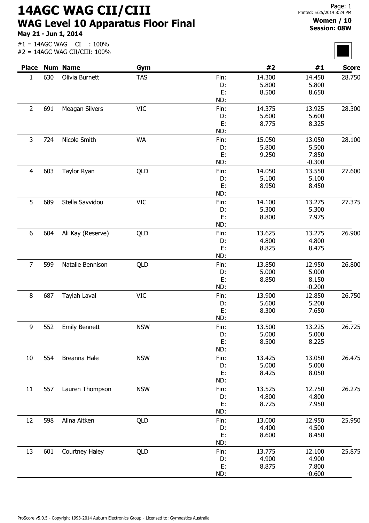14AGC WAG CII/CIII WAG Level 10 Apparatus Floor Final

May 21 - Jun 1, 2014

## Women / 10 Session: 08W

| $#1 = 14AGC WAG$<br>:100%<br>CI<br>#2 = 14AGC WAG CII/CIII: 100% |     |                       |            |            |                 |                   |              |
|------------------------------------------------------------------|-----|-----------------------|------------|------------|-----------------|-------------------|--------------|
|                                                                  |     | <b>Place Num Name</b> | Gym        |            | #2              | #1                | <b>Score</b> |
| 1                                                                | 630 | Olivia Burnett        | <b>TAS</b> | Fin:       | 14.300          | 14.450            | 28.750       |
|                                                                  |     |                       |            | D:         | 5.800           | 5.800             |              |
|                                                                  |     |                       |            | E:         | 8.500           | 8.650             |              |
|                                                                  |     |                       |            | ND:        |                 |                   |              |
| $\overline{2}$                                                   | 691 | Meagan Silvers        | <b>VIC</b> | Fin:       | 14.375          | 13.925            | 28.300       |
|                                                                  |     |                       |            | D:         | 5.600           | 5.600             |              |
|                                                                  |     |                       |            | E:         | 8.775           | 8.325             |              |
|                                                                  |     |                       |            | ND:        |                 |                   |              |
| 3                                                                | 724 | Nicole Smith          | <b>WA</b>  | Fin:       | 15.050          | 13.050            | 28.100       |
|                                                                  |     |                       |            | D:<br>E:   | 5.800           | 5.500             |              |
|                                                                  |     |                       |            | ND:        | 9.250           | 7.850<br>$-0.300$ |              |
|                                                                  |     |                       |            |            | 14.050          | 13.550            | 27.600       |
| 4                                                                | 603 | Taylor Ryan           | QLD        | Fin:<br>D: | 5.100           | 5.100             |              |
|                                                                  |     |                       |            | E:         | 8.950           | 8.450             |              |
|                                                                  |     |                       |            | ND:        |                 |                   |              |
| 5                                                                | 689 | Stella Savvidou       | <b>VIC</b> | Fin:       | 14.100          | 13.275            | 27.375       |
|                                                                  |     |                       |            | D:         | 5.300           | 5.300             |              |
|                                                                  |     |                       |            | E:         | 8.800           | 7.975             |              |
|                                                                  |     |                       |            | ND:        |                 |                   |              |
| 6                                                                | 604 | Ali Kay (Reserve)     | QLD        | Fin:       | 13.625          | 13.275            | 26.900       |
|                                                                  |     |                       |            | D:         | 4.800           | 4.800             |              |
|                                                                  |     |                       |            | E:         | 8.825           | 8.475             |              |
|                                                                  |     |                       |            | ND:        |                 |                   |              |
| 7                                                                | 599 | Natalie Bennison      | QLD        | Fin:       | 13.850          | 12.950            | 26.800       |
|                                                                  |     |                       |            | D:         | 5.000           | 5.000             |              |
|                                                                  |     |                       |            | E:         | 8.850           | 8.150             |              |
|                                                                  |     |                       |            | ND:        |                 | $-0.200$          |              |
| 8                                                                | 687 | Taylah Laval          | <b>VIC</b> | Fin:       | 13.900          | 12.850            | 26.750       |
|                                                                  |     |                       |            | D:         | 5.600           | 5.200             |              |
|                                                                  |     |                       |            | E:         | 8.300           | 7.650             |              |
|                                                                  |     |                       |            | ND:        |                 |                   |              |
| 9                                                                | 552 | <b>Emily Bennett</b>  | <b>NSW</b> | Fin:       | 13.500          | 13.225            | 26.725       |
|                                                                  |     |                       |            | D:         | 5.000           | 5.000             |              |
|                                                                  |     |                       |            | E:         | 8.500           | 8.225             |              |
|                                                                  |     |                       |            | ND:        |                 |                   |              |
| 10                                                               | 554 | Breanna Hale          | <b>NSW</b> | Fin:<br>D: | 13.425<br>5.000 | 13.050<br>5.000   | 26.475       |
|                                                                  |     |                       |            | E:         | 8.425           | 8.050             |              |
|                                                                  |     |                       |            | ND:        |                 |                   |              |
| 11                                                               | 557 | Lauren Thompson       | <b>NSW</b> | Fin:       | 13.525          | 12.750            | 26.275       |
|                                                                  |     |                       |            | D:         | 4.800           | 4.800             |              |
|                                                                  |     |                       |            | E:         | 8.725           | 7.950             |              |
|                                                                  |     |                       |            | ND:        |                 |                   |              |
| 12                                                               | 598 | Alina Aitken          | QLD        | Fin:       | 13.000          | 12.950            | 25.950       |
|                                                                  |     |                       |            | D:         | 4.400           | 4.500             |              |
|                                                                  |     |                       |            | E:         | 8.600           | 8.450             |              |
|                                                                  |     |                       |            | ND:        |                 |                   |              |
| 13                                                               | 601 | Courtney Haley        | QLD        | Fin:       | 13.775          | 12.100            | 25.875       |
|                                                                  |     |                       |            | D:         | 4.900           | 4.900             |              |
|                                                                  |     |                       |            | E:         | 8.875           | 7.800             |              |
|                                                                  |     |                       |            | ND:        |                 | $-0.600$          |              |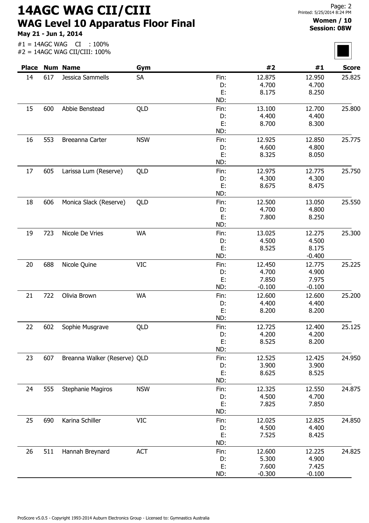14AGC WAG CII/CIII WAG Level 10 Apparatus Floor Final

May 21 - Jun 1, 2014

#1 = 14AGC WAG CI : 100%

## Women / 10 Session: 08W

| <b>Place</b> |     | <b>Num Name</b>              | Gym        |            | #2              | #1              | <b>Score</b> |
|--------------|-----|------------------------------|------------|------------|-----------------|-----------------|--------------|
|              | 617 | Jessica Sammells             | <b>SA</b>  | Fin:       | 12.875          | 12.950          | 25.825       |
| 14           |     |                              |            | D:         | 4.700           | 4.700           |              |
|              |     |                              |            | E:         | 8.175           | 8.250           |              |
|              |     |                              |            | ND:        |                 |                 |              |
| 15           | 600 | Abbie Benstead               | QLD        | Fin:       | 13.100          | 12.700          | 25.800       |
|              |     |                              |            | D:         | 4.400           | 4.400           |              |
|              |     |                              |            | E:         | 8.700           | 8.300           |              |
|              |     |                              |            | ND:        |                 |                 |              |
| 16           | 553 | Breeanna Carter              | <b>NSW</b> | Fin:       | 12.925          | 12.850          | 25.775       |
|              |     |                              |            | D:         | 4.600           | 4.800           |              |
|              |     |                              |            | E:         | 8.325           | 8.050           |              |
|              |     |                              |            | ND:        |                 |                 |              |
| 17           | 605 | Larissa Lum (Reserve)        | QLD        | Fin:       | 12.975          | 12.775          | 25.750       |
|              |     |                              |            | D:         | 4.300           | 4.300           |              |
|              |     |                              |            | E:         | 8.675           | 8.475           |              |
|              |     |                              |            | ND:        |                 |                 |              |
| 18           | 606 | Monica Slack (Reserve)       | QLD        | Fin:<br>D: | 12.500<br>4.700 | 13.050<br>4.800 | 25.550       |
|              |     |                              |            | E:         | 7.800           | 8.250           |              |
|              |     |                              |            | ND:        |                 |                 |              |
| 19           | 723 | Nicole De Vries              | <b>WA</b>  | Fin:       | 13.025          | 12.275          | 25.300       |
|              |     |                              |            | D:         | 4.500           | 4.500           |              |
|              |     |                              |            | E:         | 8.525           | 8.175           |              |
|              |     |                              |            | ND:        |                 | $-0.400$        |              |
| 20           | 688 | Nicole Quine                 | <b>VIC</b> | Fin:       | 12.450          | 12.775          | 25.225       |
|              |     |                              |            | D:         | 4.700           | 4.900           |              |
|              |     |                              |            | E:         | 7.850           | 7.975           |              |
|              |     |                              |            | ND:        | $-0.100$        | $-0.100$        |              |
| 21           | 722 | Olivia Brown                 | <b>WA</b>  | Fin:       | 12.600          | 12.600          | 25.200       |
|              |     |                              |            | D:         | 4.400           | 4.400           |              |
|              |     |                              |            | E:         | 8.200           | 8.200           |              |
|              |     |                              |            | ND:        |                 |                 |              |
| 22           | 602 | Sophie Musgrave              | <b>OLD</b> | Fin:       | 12.725          | 12,400          | 25.125       |
|              |     |                              |            | D:         | 4.200           | 4.200           |              |
|              |     |                              |            | E:         | 8.525           | 8.200           |              |
|              |     |                              |            | ND:        |                 |                 |              |
| 23           | 607 | Breanna Walker (Reserve) QLD |            | Fin:       | 12.525<br>3.900 | 12.425<br>3.900 | 24.950       |
|              |     |                              |            | D:<br>E:   | 8.625           | 8.525           |              |
|              |     |                              |            | ND:        |                 |                 |              |
| 24           | 555 | <b>Stephanie Magiros</b>     | <b>NSW</b> | Fin:       | 12.325          | 12.550          | 24.875       |
|              |     |                              |            | D:         | 4.500           | 4.700           |              |
|              |     |                              |            | E:         | 7.825           | 7.850           |              |
|              |     |                              |            | ND:        |                 |                 |              |
| 25           | 690 | Karina Schiller              | <b>VIC</b> | Fin:       | 12.025          | 12.825          | 24.850       |
|              |     |                              |            | D:         | 4.500           | 4.400           |              |
|              |     |                              |            | E:         | 7.525           | 8.425           |              |
|              |     |                              |            | ND:        |                 |                 |              |
| 26           | 511 | Hannah Breynard              | <b>ACT</b> | Fin:       | 12.600          | 12.225          | 24.825       |
|              |     |                              |            | D:         | 5.300           | 4.900           |              |
|              |     |                              |            | E:         | 7.600           | 7.425           |              |
|              |     |                              |            | ND:        | $-0.300$        | $-0.100$        |              |